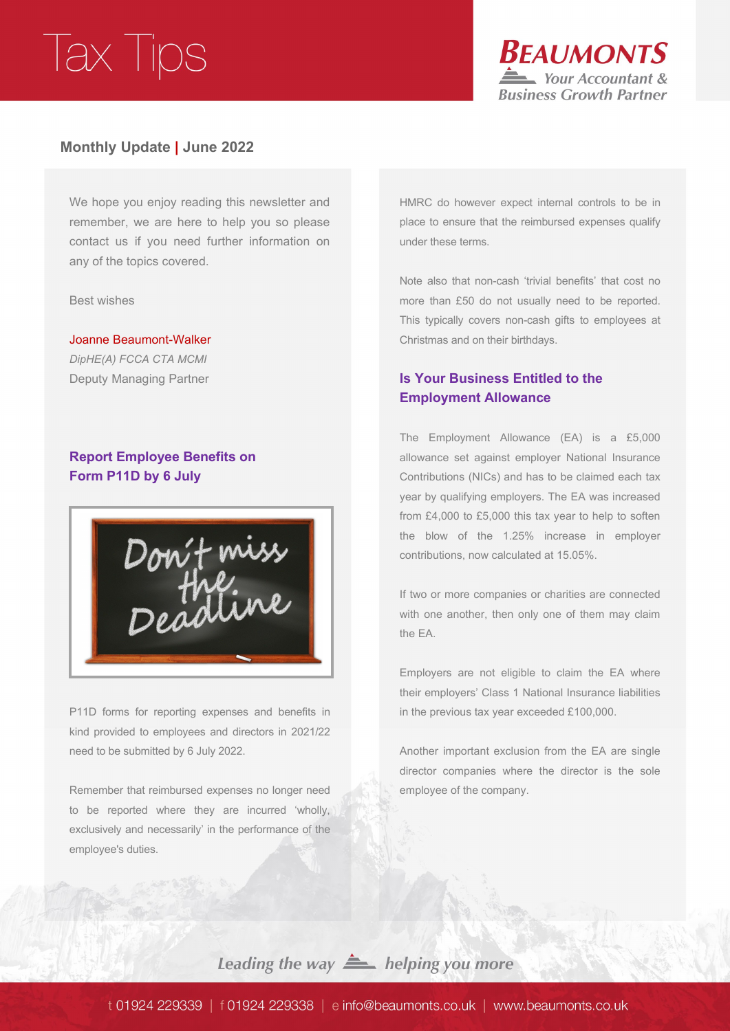

### **Monthly Update | June 2022**

We hope you enjoy reading this newsletter and remember, we are here to help you so please contact us if you need further information on any of the topics covered.

Best wishes

Joanne Beaumont-Walker *DipHE(A) FCCA CTA MCMI* Deputy Managing Partner

### **Report Employee Benefits on Form P11D by 6 July**



P11D forms for reporting expenses and benefits in kind provided to employees and directors in 2021/22 need to be submitted by 6 July 2022.

Remember that reimbursed expenses no longer need to be reported where they are incurred 'wholly, exclusively and necessarily' in the performance of the employee's duties.

HMRC do however expect internal controls to be in place to ensure that the reimbursed expenses qualify under these terms.

Note also that non-cash 'trivial benefits' that cost no more than £50 do not usually need to be reported. This typically covers non-cash gifts to employees at Christmas and on their birthdays.

### **Is Your Business Entitled to the Employment Allowance**

The Employment Allowance (EA) is a £5,000 allowance set against employer National Insurance Contributions (NICs) and has to be claimed each tax year by qualifying employers. The EA was increased from £4,000 to £5,000 this tax year to help to soften the blow of the 1.25% increase in employer contributions, now calculated at 15.05%.

If two or more companies or charities are connected with one another, then only one of them may claim the EA.

Employers are not eligible to claim the EA where their employers' Class 1 National Insurance liabilities in the previous tax year exceeded £100,000.

Another important exclusion from the EA are single director companies where the director is the sole employee of the company.

Leading the way  $\triangleq$  helping you more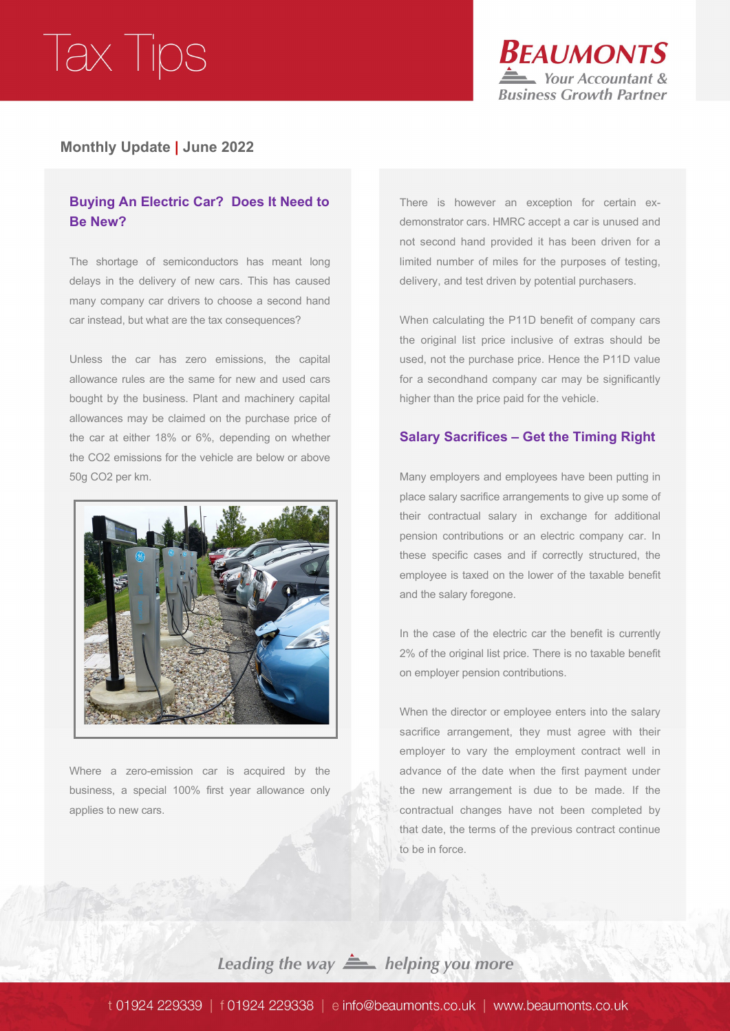

### **Monthly Update | June 2022**

### **Buying An Electric Car? Does It Need to Be New?**

The shortage of semiconductors has meant long delays in the delivery of new cars. This has caused many company car drivers to choose a second hand car instead, but what are the tax consequences?

Unless the car has zero emissions, the capital allowance rules are the same for new and used cars bought by the business. Plant and machinery capital allowances may be claimed on the purchase price of the car at either 18% or 6%, depending on whether the CO2 emissions for the vehicle are below or above 50g CO2 per km.



Where a zero-emission car is acquired by the business, a special 100% first year allowance only applies to new cars.

There is however an exception for certain exdemonstrator cars. HMRC accept a car is unused and not second hand provided it has been driven for a limited number of miles for the purposes of testing, delivery, and test driven by potential purchasers.

When calculating the P11D benefit of company cars the original list price inclusive of extras should be used, not the purchase price. Hence the P11D value for a secondhand company car may be significantly higher than the price paid for the vehicle.

#### **Salary Sacrifices – Get the Timing Right**

Many employers and employees have been putting in place salary sacrifice arrangements to give up some of their contractual salary in exchange for additional pension contributions or an electric company car. In these specific cases and if correctly structured, the employee is taxed on the lower of the taxable benefit and the salary foregone.

In the case of the electric car the benefit is currently 2% of the original list price. There is no taxable benefit on employer pension contributions.

When the director or employee enters into the salary sacrifice arrangement, they must agree with their employer to vary the employment contract well in advance of the date when the first payment under the new arrangement is due to be made. If the contractual changes have not been completed by that date, the terms of the previous contract continue to be in force.

Leading the way  $\triangleq$  helping you more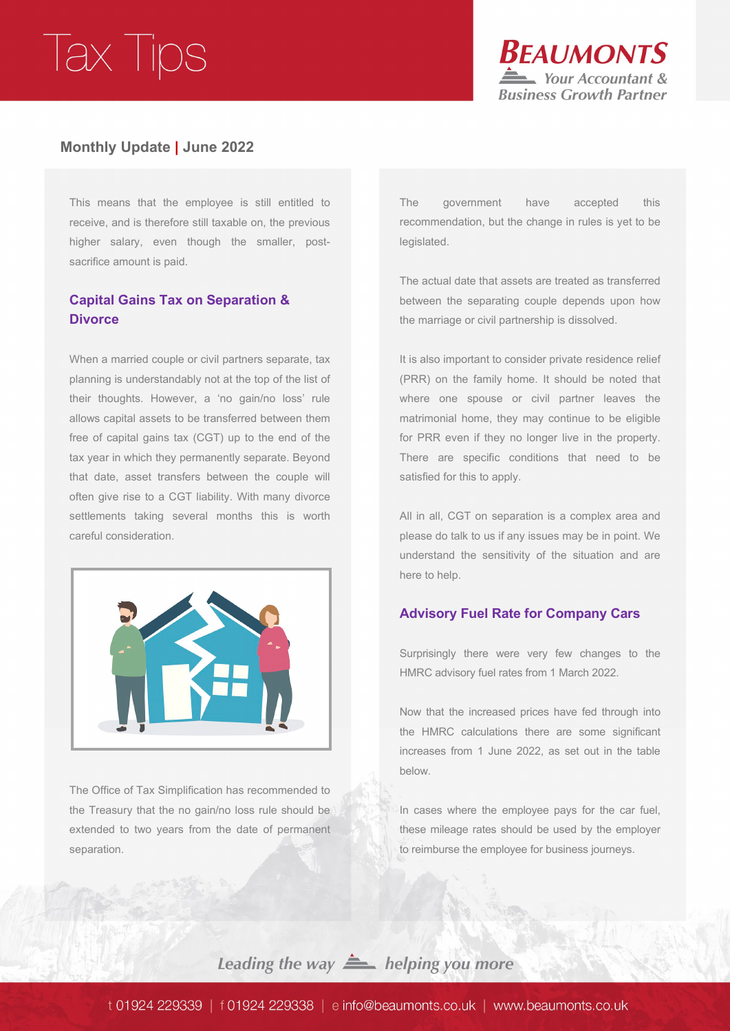

### **Monthly Update | June 2022**

This means that the employee is still entitled to receive, and is therefore still taxable on, the previous higher salary, even though the smaller, postsacrifice amount is paid.

### **Capital Gains Tax on Separation & Divorce**

When a married couple or civil partners separate, tax planning is understandably not at the top of the list of their thoughts. However, a 'no gain/no loss' rule allows capital assets to be transferred between them free of capital gains tax (CGT) up to the end of the tax year in which they permanently separate. Beyond that date, asset transfers between the couple will often give rise to a CGT liability. With many divorce settlements taking several months this is worth careful consideration.



The Office of Tax Simplification has recommended to the Treasury that the no gain/no loss rule should be extended to two years from the date of permanent separation.

The government have accepted this recommendation, but the change in rules is yet to be legislated.

The actual date that assets are treated as transferred between the separating couple depends upon how the marriage or civil partnership is dissolved.

It is also important to consider private residence relief (PRR) on the family home. It should be noted that where one spouse or civil partner leaves the matrimonial home, they may continue to be eligible for PRR even if they no longer live in the property. There are specific conditions that need to be satisfied for this to apply.

All in all, CGT on separation is a complex area and please do talk to us if any issues may be in point. We understand the sensitivity of the situation and are here to help.

#### **Advisory Fuel Rate for Company Cars**

Surprisingly there were very few changes to the HMRC advisory fuel rates from 1 March 2022.

Now that the increased prices have fed through into the HMRC calculations there are some significant increases from 1 June 2022, as set out in the table below.

In cases where the employee pays for the car fuel, these mileage rates should be used by the employer to reimburse the employee for business journeys.

Leading the way **A** helping you more